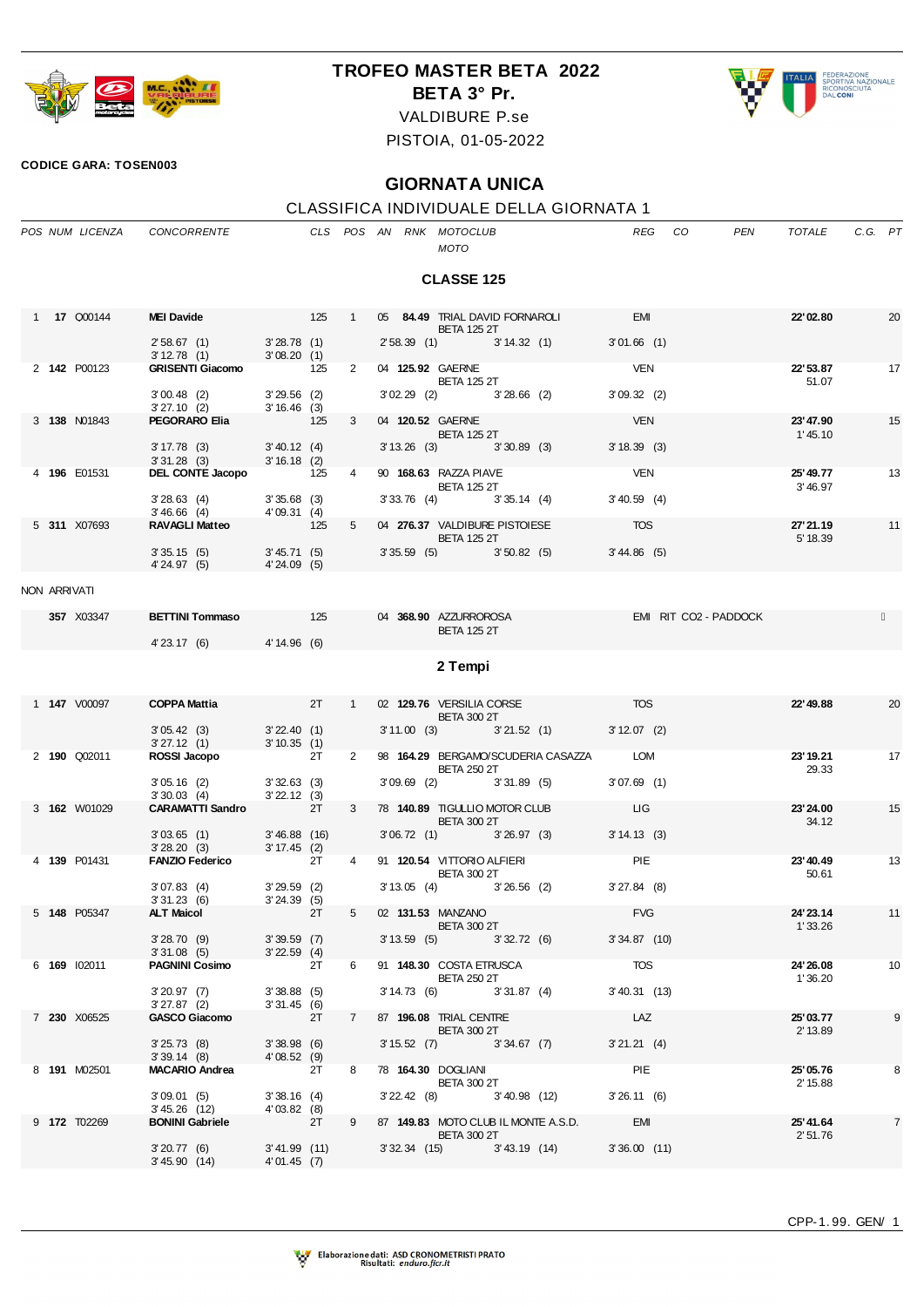

## **TROFEO MASTER BETA 2022**

**BETA 3° Pr.**



VALDIBURE P.se

PISTOIA, 01-05-2022

## **CODICE GARA: TOSEN003**

## **GIORNATA UNICA**

## CLASSIFICA INDIVIDUALE DELLA GIORNATA 1

|                   |  | POS NUM LICENZA     | CONCORRENTE                                                              |                                       |    |                |  |                          | CLS POS AN RNK MOTOCLUB<br>MOTO                                            |  |                                                    | REG CO                |                       | PEN | TOTALE                | C.G. PT |                |
|-------------------|--|---------------------|--------------------------------------------------------------------------|---------------------------------------|----|----------------|--|--------------------------|----------------------------------------------------------------------------|--|----------------------------------------------------|-----------------------|-----------------------|-----|-----------------------|---------|----------------|
| <b>CLASSE 125</b> |  |                     |                                                                          |                                       |    |                |  |                          |                                                                            |  |                                                    |                       |                       |     |                       |         |                |
|                   |  | 1 <b>17 Q00144</b>  | <b>MEI Davide</b>                                                        | $125 \t 1$                            |    |                |  |                          |                                                                            |  | 05 84.49 TRIAL DAVID FORNAROLI                     | <b>EMI</b>            |                       |     | 22'02.80              |         | 20             |
|                   |  |                     | 2' 58.67 (1) 3' 28.78 (1)<br>3'12.78(1)                                  | 3'08.20(1)                            |    |                |  |                          | <b>BETA 125 2T</b>                                                         |  | 2' 58.39 (1) 3' 14.32 (1)                          | 3'01.66(1)            |                       |     |                       |         |                |
|                   |  | 2 142 P00123        | <b>GRISENTI Giacomo</b> 125                                              |                                       |    | $\overline{2}$ |  |                          | 04 125.92 GAERNE<br><b>BETA 125 2T</b>                                     |  |                                                    | <b>VEN</b>            |                       |     | 22' 53.87<br>51.07    |         | 17             |
|                   |  |                     | $3'00.48$ (2)<br>$3'27.10$ (2) $3'16.46$ (3)<br><b>PEGORARO Elia</b> 125 | $3'29.56$ (2)                         |    |                |  |                          | $3'02.29$ (2) $3'28.66$ (2)                                                |  |                                                    | 3'09.32(2)            |                       |     |                       |         |                |
|                   |  | 3 138 N01843        | PEGORARO Elia                                                            | 125                                   |    | $3^{\circ}$    |  |                          | 04 120.52 GAERNE<br><b>BETA 125 2T</b>                                     |  |                                                    | <b>VEN</b>            |                       |     | 23' 47.90<br>1'45.10  |         | 15             |
|                   |  |                     | $3' 17.78$ (3)<br>3' 31.28 (3) 3' 16.18 (2)                              | 3' 40.12 (4)                          |    |                |  |                          | 3' 13.26 (3) 3' 30.89 (3)                                                  |  |                                                    | 3'18.39(3)            |                       |     |                       |         |                |
|                   |  | 4 196 E01531        | DEL CONTE Jacopo 125                                                     |                                       |    | 4              |  |                          | 90 168.63 RAZZA PIAVE<br><b>BETA 125 2T</b>                                |  |                                                    | <b>VEN</b>            |                       |     | 25' 49.77<br>3'46.97  |         | 13             |
|                   |  |                     | 3' 28.63 (4) 3' 35.68 (3)<br>3' 46.66 (4) 4' 09.31 (4)                   |                                       |    |                |  |                          | 3' 33.76 (4) 3' 35.14 (4)                                                  |  |                                                    | $3' 40.59$ (4)        |                       |     |                       |         |                |
|                   |  | 5 311 X07693        | <b>RAVAGLI Matteo</b>                                                    | 125                                   |    | $5^{\circ}$    |  |                          | 04 276.37 VALDIBURE PISTOIESE<br><b>BETA 125 2T</b>                        |  |                                                    | <b>TOS</b>            |                       |     | 27' 21.19<br>5' 18.39 |         | 11             |
|                   |  |                     | 3'35.15(5)<br>4'24.97 (5) 4'24.09 (5)                                    | 3' 45.71(5)                           |    |                |  |                          |                                                                            |  | $3'35.59$ (5) $3'50.82$ (5)                        | 3' 44.86 (5)          |                       |     |                       |         |                |
| NON ARRIVATI      |  |                     |                                                                          |                                       |    |                |  |                          |                                                                            |  |                                                    |                       |                       |     |                       |         |                |
|                   |  | 357 X03347          | <b>BETTINI Tommaso</b> 125                                               |                                       |    |                |  |                          | 04 368.90 AZZURROROSA<br><b>BETA 125 2T</b>                                |  |                                                    |                       | EMI RIT CO2 - PADDOCK |     |                       |         |                |
|                   |  |                     | 4'23.17 (6) 4'14.96 (6)                                                  |                                       |    |                |  |                          |                                                                            |  |                                                    |                       |                       |     |                       |         |                |
|                   |  |                     |                                                                          |                                       |    |                |  |                          | 2 Tempi                                                                    |  |                                                    |                       |                       |     |                       |         |                |
|                   |  | 1 <b>147</b> V00097 | <b>COPPA Mattia</b>                                                      | $2T \t 1$                             |    |                |  |                          | 02 129.76 VERSILIA CORSE<br><b>BETA 300 2T</b>                             |  |                                                    | <b>Example 2015</b>   |                       |     | 22'49.88              |         | 20             |
|                   |  |                     | $3'05.42$ (3) $3'22.40$ (1)<br>$3'27.12$ (1) $3'10.35$ (1)               |                                       |    |                |  |                          |                                                                            |  | 3'11.00 (3) 3'21.52 (1) 3'12.07 (2)                |                       |                       |     |                       |         |                |
|                   |  | 2 190 Q02011        | ROSSI Jacopo                                                             | 2T                                    |    | $2^{\circ}$    |  |                          | <b>BETA 250 2T</b>                                                         |  | 98 164.29 BERGAMO/SCUDERIA CASAZZA LOM             |                       |                       |     | 23' 19.21<br>29.33    |         | 17             |
|                   |  |                     | $3'05.16$ (2) $3'32.63$ (3)<br>3'30.03(4)                                | 3'22.12(3)                            |    |                |  |                          | 3'09.69 (2) 3'31.89 (5)                                                    |  |                                                    | $3'07.69$ (1)         |                       |     |                       |         |                |
|                   |  | 3 162 W01029        | <b>CARAMATTI Sandro</b> 2T                                               |                                       |    | 3              |  |                          | 78 140.89 TIGULLIO MOTOR CLUB<br><b>BETA 300 2T</b>                        |  |                                                    | LIG                   |                       |     | 23' 24.00<br>34.12    |         | 15             |
|                   |  |                     | 3' 03.65 (1) 3' 46.88 (16)<br>3' 28.20 (3) 3' 17.45 (2)                  |                                       |    |                |  |                          |                                                                            |  | 3'06.72 (1) 3'26.97 (3) 3'14.13 (3)                |                       |                       |     |                       |         |                |
|                   |  | 4 139 P01431        | <b>FANZIO Federico</b>                                                   | 2T                                    |    | 4              |  |                          | 91 120.54 VITTORIO ALFIERI<br><b>BETA 300 2T</b>                           |  |                                                    | PIE                   |                       |     | 23'40.49<br>50.61     |         | 13             |
|                   |  |                     | 3'07.83(4)<br>3'31.23(6)                                                 | $3'29.59$ (2)<br>$3' 24.39$ (5)<br>2T |    |                |  |                          |                                                                            |  | $3'13.05$ (4) $3'26.56$ (2)<br>5 02 131.53 MANZANO | $3'27.84$ (8)         |                       |     |                       |         |                |
|                   |  | 5 148 P05347        | <b>ALT Maicol</b>                                                        |                                       |    |                |  |                          | <b>BETA 300 2T</b>                                                         |  |                                                    | <b>FVG</b>            |                       |     | 24' 23.14<br>1'33.26  |         | 11             |
|                   |  |                     | 3'28.70 (9) 3'39.59 (7)<br>3'31.08(5)                                    | 3'22.59(4)                            |    | 6              |  |                          |                                                                            |  | $3'13.59$ (5) $3'32.72$ (6)                        | $3'34.87$ (10)<br>TOS |                       |     |                       |         |                |
|                   |  | 6 169 102011        | <b>PAGNINI Cosimo</b>                                                    | 3'38.88(5)                            | 2T |                |  |                          | 91 148.30 COSTA ETRUSCA<br><b>BETA 250 2T</b><br>3' 14.73 (6) 3' 31.87 (4) |  |                                                    | 3' 40.31 (13)         |                       |     | 24' 26.08<br>1'36.20  |         | 10             |
|                   |  | 7 230 X06525        | 3'20.97(7)<br>3'27.87(2)<br><b>GASCO Giacomo</b>                         | 3'31.45(6)<br>2T                      |    | $7^{\circ}$    |  |                          | 87 196.08 TRIAL CENTRE                                                     |  |                                                    | LAZ                   |                       |     | 25'03.77              |         | 9              |
|                   |  |                     | 3'25.73(8)                                                               | 3'38.98(6)                            |    |                |  | <b>Contract Contract</b> | <b>BETA 300 2T</b><br>3' 15.52 (7) 3' 34.67 (7)                            |  |                                                    | 3'21.21(4)            |                       |     | 2' 13.89              |         |                |
|                   |  | 8 191 M02501        | 3'39.14(8)<br><b>MACARIO Andrea</b>                                      | 4'08.52(9)<br>2T                      |    | 8              |  |                          | 78 164.30 DOGLIANI                                                         |  |                                                    | PIE                   |                       |     | 25'05.76              |         | 8              |
|                   |  |                     | 3'09.01(5)                                                               | 3'38.16(4)                            |    |                |  |                          | <b>BETA 300 2T</b><br>$3'$ 22.42 (8) $3'$ 40.98 (12)                       |  |                                                    | 3'26.11(6)            |                       |     | 2' 15.88              |         |                |
|                   |  | 9 <b>172</b> T02269 | 3'45.26 (12)<br><b>BONINI Gabriele</b>                                   | 4'03.82(8)<br>2T                      |    | 9              |  |                          |                                                                            |  | 87 149.83 MOTO CLUB IL MONTE A.S.D. EMI            |                       |                       |     | 25'41.64              |         | $\overline{7}$ |
|                   |  |                     | 3'20.77(6)                                                               | $3'41.99$ (11)                        |    |                |  |                          | <b>BETA 300 2T</b>                                                         |  | $3'32.34$ (15) $3'43.19$ (14)                      | 3'36.00(11)           |                       |     | 2'51.76               |         |                |
|                   |  |                     | 3' 45.90 (14)                                                            | 4'01.45 (7)                           |    |                |  |                          |                                                                            |  |                                                    |                       |                       |     |                       |         |                |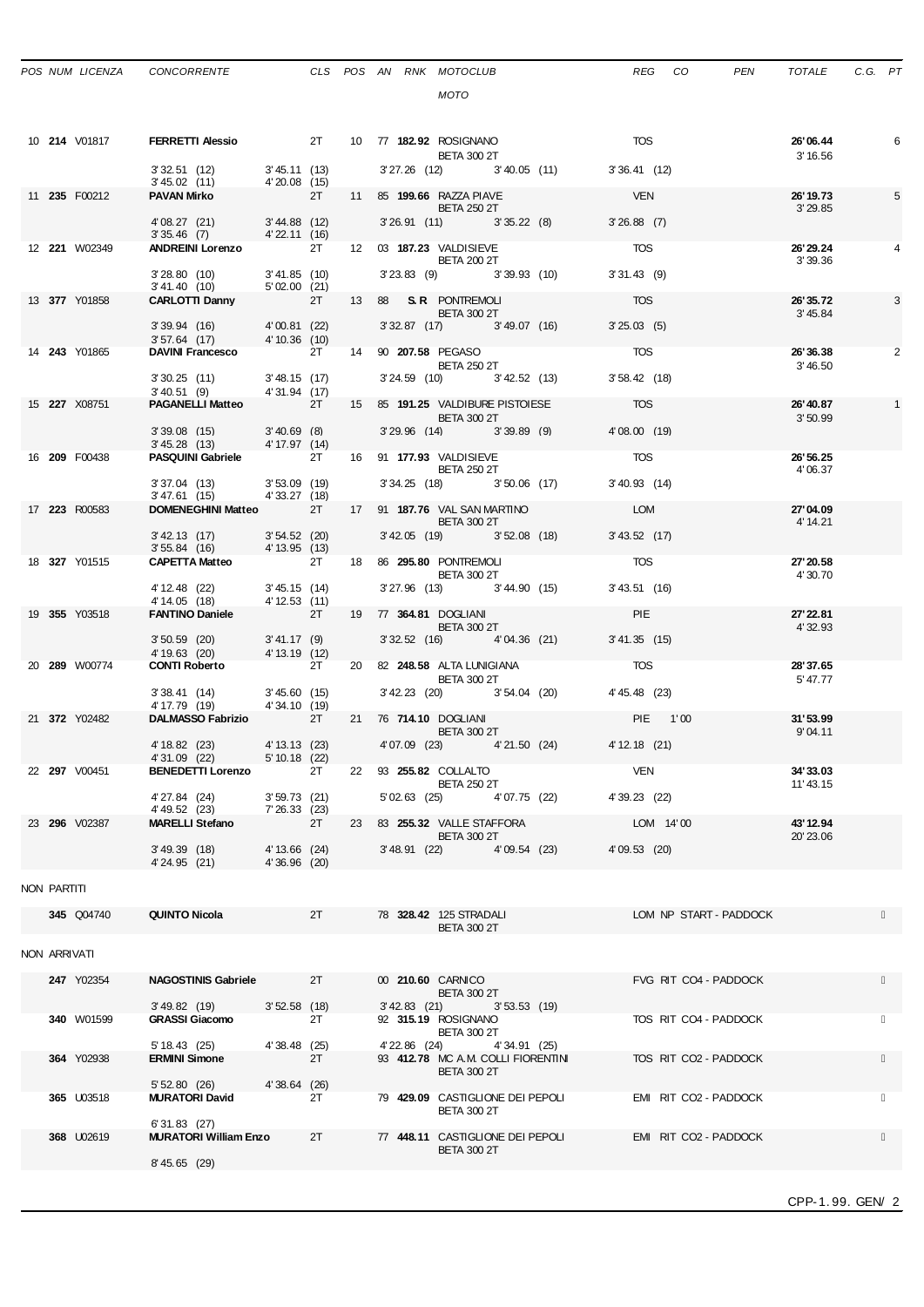|              | POS NUM LICENZA      | CONCORRENTE                                                                           |                            |    |    |               | CLS POS AN RNK MOTOCLUB                            |              |                                      | REG             | CO                     | <b>PEN</b> | TOTALE                 | C.G. PT |              |
|--------------|----------------------|---------------------------------------------------------------------------------------|----------------------------|----|----|---------------|----------------------------------------------------|--------------|--------------------------------------|-----------------|------------------------|------------|------------------------|---------|--------------|
|              |                      |                                                                                       |                            |    |    |               | <b>MOTO</b>                                        |              |                                      |                 |                        |            |                        |         |              |
|              |                      |                                                                                       |                            |    |    |               |                                                    |              |                                      |                 |                        |            |                        |         |              |
|              | 10 <b>214</b> V01817 | <b>FERRETTI Alessio 2T 2T 10 77 182.92 ROSIGNANO</b>                                  |                            |    |    |               |                                                    |              |                                      | <b>TOS</b>      |                        |            | 26'06.44               |         | 6            |
|              |                      | $3'32.51$ (12) $3'45.11$ (13)<br>$3'45.02$ (11) $4'20.08$ (15)                        |                            |    |    |               | <b>BETA 300 2T</b>                                 |              | 3' 27.26 (12) 3' 40.05 (11)          | 3'36.41(12)     |                        |            | 3' 16.56               |         |              |
|              | 11 235 F00212        | 3' 45.02 (11)<br><b>PAVAN Mirko</b>                                                   | 4'20.08 (15)<br>2T         |    |    |               | 11 85 199.66 RAZZA PIAVE                           |              |                                      | <b>VEN</b>      |                        |            | 26' 19.73              |         | 5            |
|              |                      |                                                                                       |                            |    |    |               | BETA 250 2T                                        |              |                                      |                 |                        |            | 3' 29.85               |         |              |
|              |                      | 4'08.27 (21) 3'44.88 (12)<br>3'35.46 (7) 4'22.11 (16)                                 |                            |    |    |               | 3' 26.91 (11) 3' 35.22 (8)                         |              |                                      | $3'26.88$ (7)   |                        |            |                        |         |              |
|              | 12 <b>221</b> W02349 | ANDREINI Lorenzo 2T                                                                   |                            |    |    |               | 12 03 187.23 VALDISIEVE<br><b>BETA 200 2T</b>      |              |                                      | <b>TOS</b>      |                        |            | 26' 29.24<br>3'39.36   |         |              |
|              |                      | 3'28.80(10)                                                                           | $3' 41.85$ (10)            |    |    |               | 3'23.83 (9) 3'39.93 (10)                           |              |                                      | 3'31.43(9)      |                        |            |                        |         |              |
|              | 13 377 Y01858        | 3' 41.40 (10) 5' 02.00 (21)<br>CARLOTTI Danny 2T                                      |                            |    |    |               | 13 88 S.R. PONTREMOLI                              |              |                                      | <b>TOS</b>      |                        |            | 26'35.72               |         | 3            |
|              |                      |                                                                                       |                            |    |    |               | <b>BETA 300 2T</b><br>3' 32.87 (17) 3' 49.07 (16)  |              |                                      | 3'25.03(5)      |                        |            | 3'45.84                |         |              |
|              | 14 243 Y01865        | 3' 39.94 (16) 4' 00.81 (22)<br>3' 57.64 (17) 4' 10.36 (10)                            |                            | 2T |    |               | 14 90 207.58 PEGASO                                |              |                                      | <b>TOS</b>      |                        |            | 26'36.38               |         | 2            |
|              |                      | <b>DAVINI Francesco</b>                                                               |                            |    |    |               | <b>BETA 250 2T</b>                                 |              |                                      |                 |                        |            | 3'46.50                |         |              |
|              |                      | 3' 30.25 (11) 3' 48.15 (17)<br>3'40.51 (9) 4'31.94 (17)<br><b>PAGANELLI Matteo</b> 2T |                            |    |    |               | $3'$ 24.59 (10) $3'$ 42.52 (13)                    |              |                                      | $3'58.42$ (18)  |                        |            |                        |         |              |
|              | 15 227 X08751        |                                                                                       | 2T                         |    |    |               | <b>BETA 300 2T</b>                                 |              | 15 85 191.25 VALDIBURE PISTOIESE TOS |                 |                        |            | 26' 40.87<br>3'50.99   |         | $\mathbf{1}$ |
|              |                      | $3'39.08$ (15) $3'40.69$ (8)                                                          |                            |    |    |               | 3' 29.96 (14) 3' 39.89 (9)                         |              |                                      | 4'08.00(19)     |                        |            |                        |         |              |
|              | 16 209 F00438        | 3' 45.28 (13)<br><b>PASQUINI Gabriele</b> 2T                                          | 4' 17.97 (14)              |    |    |               | 16 91 177.93 VALDISIEVE                            |              |                                      | <b>TOS</b>      |                        |            | 26' 56.25              |         |              |
|              |                      |                                                                                       |                            |    |    |               | <b>BETA 250 2T</b><br>3' 34.25 (18) 3' 50.06 (17)  |              |                                      | $3' 40.93$ (14) |                        |            | 4'06.37                |         |              |
|              |                      | 3' 37.04 (13) 3' 53.09 (19)<br>3' 47.61 (15) 4' 33.27 (18)                            |                            |    |    |               |                                                    |              |                                      |                 |                        |            |                        |         |              |
|              | 17 223 R00583        | <b>DOMENEGHINI Matteo</b> 2T                                                          |                            |    |    |               | 17 91 187.76 VAL SAN MARTINO<br><b>BETA 300 2T</b> |              |                                      | LOM             |                        |            | 27'04.09<br>4' 14.21   |         |              |
|              |                      | 3'42.13 (17) 3'54.52 (20)<br>3' 55.84 (16) 4' 13.95 (13)                              |                            |    |    |               | $3'42.05$ (19) $3'52.08$ (18)                      |              |                                      | 3' 43.52 (17)   |                        |            |                        |         |              |
|              | 18 327 Y01515        | CAPETTA Matteo 2T                                                                     |                            |    |    |               | 18 86 <b>295.80 PONTREMOLI</b>                     |              |                                      | <b>TOS</b>      |                        |            | 27'20.58               |         |              |
|              |                      | 4' 12.48 (22) 3' 45.15 (14)                                                           |                            |    |    |               | BETA 300 2T<br>3' 27.96 (13) 3' 44.90 (15)         |              |                                      | 3' 43.51 (16)   |                        |            | 4' 30.70               |         |              |
|              | 19 355 Y03518        | 4' 14.05 (18)<br>FANTINO Daniele 2T                                                   | 4' 12.53 (11)              |    |    |               | 19 77 364.81 DOGLIANI                              |              |                                      | <b>PIE</b>      |                        |            | 27' 22.81              |         |              |
|              |                      |                                                                                       |                            |    |    |               | BETA 300 2T                                        |              |                                      |                 |                        |            | 4' 32.93               |         |              |
|              |                      | $3'50.59$ (20)<br>4' 19.63 (20) 4' 13.19 (12)                                         | 3' 41.17 (9)               |    |    |               |                                                    |              | 3' 32.52 (16) 4' 04.36 (21)          | 3' 41.35 (15)   |                        |            |                        |         |              |
|              | 20 289 W00774        | <b>CONTI Roberto</b>                                                                  | 2T                         |    |    |               | 20 82 248.58 ALTA LUNIGIANA<br><b>BETA 300 2T</b>  |              |                                      | <b>TOS</b>      |                        |            | 28'37.65<br>5' 47.77   |         |              |
|              |                      | 3' 38.41 (14) 3' 45.60 (15)<br>4' 17.79 (19)                                          | 4'34.10 (19)               |    |    |               |                                                    |              | 3' 42.23 (20) 3' 54.04 (20)          | 4' 45.48 (23)   |                        |            |                        |         |              |
|              | 21 372 Y02482        | DALMASSO Fabrizio 2T                                                                  |                            |    |    |               | 21 76 <b>714.10</b> DOGLIANI<br>BETA 300 2T        |              |                                      | PIE 1'00        |                        |            | 31'53.99               |         |              |
|              |                      | 4' 18.82 (23)                                                                         | 4' 13.13 (23)              |    |    |               |                                                    |              | 4'07.09 (23) 4'21.50 (24)            | 4' 12.18 (21)   |                        |            | 9'04.11                |         |              |
|              | 22 297 V00451        | 4' 31.09 (22)<br><b>BENEDETTI Lorenzo</b>                                             | 5' 10.18 (22)              | 2T | 22 |               | 93 255.82 COLLALTO                                 |              |                                      | VEN             |                        |            | 34'33.03               |         |              |
|              |                      |                                                                                       |                            |    |    |               | <b>BETA 250 2T</b>                                 |              |                                      |                 |                        |            | 11'43.15               |         |              |
|              |                      | 4'27.84 (24)<br>4' 49.52 (23)                                                         | 3'59.73(21)<br>7'26.33(23) |    |    |               | 5'02.63 (25) 4'07.75 (22)                          |              |                                      | 4' 39.23 (22)   |                        |            |                        |         |              |
|              | 23 296 V02387        | <b>MARELLI Stefano</b>                                                                |                            | 2T |    |               | 23 83 255.32 VALLE STAFFORA<br><b>BETA 300 2T</b>  |              |                                      |                 | LOM 14'00              |            | 43' 12.94<br>20' 23.06 |         |              |
|              |                      | 3'49.39(18)                                                                           | 4' 13.66 (24)              |    |    |               | 3'48.91(22)                                        | 4'09.54 (23) |                                      | 4'09.53 (20)    |                        |            |                        |         |              |
|              |                      | 4'24.95 (21)                                                                          | 4'36.96(20)                |    |    |               |                                                    |              |                                      |                 |                        |            |                        |         |              |
| NON PARTITI  |                      |                                                                                       |                            |    |    |               |                                                    |              |                                      |                 |                        |            |                        |         |              |
|              | 345 Q04740           | <b>QUINTO Nicola</b>                                                                  |                            | 2T |    |               | 78 328.42 125 STRADALI<br><b>BETA 300 2T</b>       |              |                                      |                 | LOM NP START - PADDOCK |            |                        |         |              |
|              |                      |                                                                                       |                            |    |    |               |                                                    |              |                                      |                 |                        |            |                        |         |              |
| NON ARRIVATI |                      |                                                                                       |                            |    |    |               |                                                    |              |                                      |                 |                        |            |                        |         |              |
|              | 247 Y02354           | NAGOSTINIS Gabriele                                                                   |                            | 2T |    |               | 00 210.60 CARNICO<br><b>BETA 300 2T</b>            |              |                                      |                 | FVG RIT CO4 - PADDOCK  |            |                        |         |              |
|              |                      | 3' 49.82 (19) 3' 52.58 (18)                                                           |                            |    |    |               | $3'42.83$ (21) $3'53.53$ (19)                      |              |                                      |                 |                        |            |                        |         |              |
|              | 340 W01599           | <b>GRASSI Giacomo</b>                                                                 |                            | 2T |    |               | 92 315.19 ROSIGNANO<br><b>BETA 300 2T</b>          |              |                                      |                 | TOS RIT CO4 - PADDOCK  |            |                        |         |              |
|              | 364 Y02938           | 5' 18.43 (25)<br><b>ERMINI Simone</b>                                                 | 4'38.48 (25)               | 2T |    | 4' 22.86 (24) | 93 412.78 MC A.M. COLLI FIORENTINI                 | 4'34.91 (25) |                                      |                 | TOS RIT CO2 - PADDOCK  |            |                        |         |              |
|              |                      |                                                                                       |                            |    |    |               | <b>BETA 300 2T</b>                                 |              |                                      |                 |                        |            |                        |         |              |
|              | 365 U03518           | 5' 52.80 (26) 4' 38.64 (26)<br><b>MURATORI David</b>                                  |                            | 2T |    |               | 79 429.09 CASTIGLIONE DEI PEPOLI                   |              |                                      |                 | EMI RIT CO2 - PADDOCK  |            |                        |         |              |
|              |                      | 6'31.83(27)                                                                           |                            |    |    |               | <b>BETA 300 2T</b>                                 |              |                                      |                 |                        |            |                        |         |              |
|              | 368 U02619           | <b>MURATORI William Enzo</b>                                                          |                            | 2T |    |               | 77 448.11 CASTIGLIONE DEI PEPOLI                   |              |                                      |                 | EMI RIT CO2 - PADDOCK  |            |                        |         |              |
|              |                      | 8' 45.65 (29)                                                                         |                            |    |    |               | <b>BETA 300 2T</b>                                 |              |                                      |                 |                        |            |                        |         |              |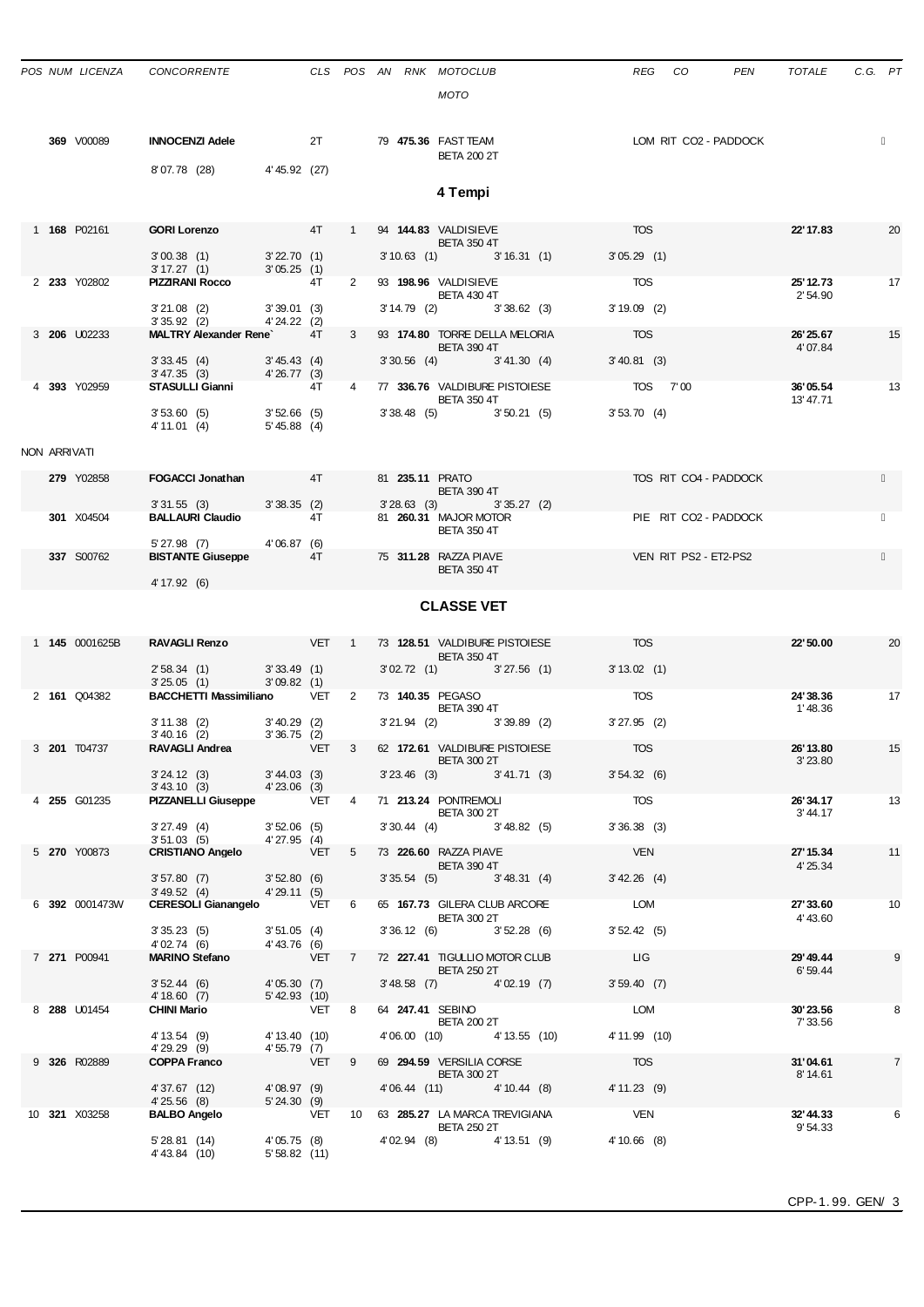|              | POS NUM LICENZA | <b>CONCORRENTE</b>                                                                                       |                              |                  |                         |  | CLS POS AN RNK MOTOCLUB<br><b>MOTO</b>               | REG<br>CO<br>PEN      | TOTALE                | C.G. PT        |
|--------------|-----------------|----------------------------------------------------------------------------------------------------------|------------------------------|------------------|-------------------------|--|------------------------------------------------------|-----------------------|-----------------------|----------------|
|              | 369 V00089      | <b>INNOCENZI Adele</b>                                                                                   |                              | 2T               |                         |  | 79 475.36 FAST TEAM<br><b>BETA 200 2T</b>            | LOM RIT CO2 - PADDOCK |                       |                |
|              |                 | 8'07.78 (28)                                                                                             | 4'45.92 (27)                 |                  |                         |  | 4 Tempi                                              |                       |                       |                |
|              | 1 168 P02161    | <b>GORI Lorenzo</b>                                                                                      |                              | 4T               | $\mathbf{1}$            |  | 94 144.83 VALDISIEVE<br><b>BETA 350 4T</b>           | <b>TOS</b>            | 22' 17.83             | 20             |
|              |                 | 3'00.38(1)<br>3' 17.27 (1)                                                                               | 3'22.70(1)<br>3'05.25(1)     |                  |                         |  | $3'10.63$ (1)<br>3'16.31(1)                          | 3'05.29(1)            |                       |                |
|              | 2 233 Y02802    | <b>PIZZIRANI Rocco</b>                                                                                   |                              | 4T               | $\overline{2}$          |  | 93 198.96 VALDISIEVE<br><b>BETA 430 4T</b>           | <b>TOS</b>            | 25' 12.73<br>2' 54.90 | 17             |
|              |                 | $3'21.08$ (2)                                                                                            | 3'39.01(3)                   |                  |                         |  | $3' 14.79$ (2)<br>3'38.62(3)                         | $3'19.09$ (2)         |                       |                |
|              | 3 206 U02233    | $3'35.92$ (2)<br><b>MALTRY Alexander Rene</b>                                                            | $4'24.22$ (2)                | 4T               | 3                       |  | 93 174.80 TORRE DELLA MELORIA                        | TOS                   | 26'25.67              | 15             |
|              |                 |                                                                                                          |                              |                  |                         |  | <b>BETA 390 4T</b>                                   |                       | 4'07.84               |                |
|              |                 | 3'33.45(4)<br>3' 47.35 (3)                                                                               | 3' 45.43 (4)<br>4'26.77(3)   |                  |                         |  | $3'30.56$ (4) $3'41.30$ (4)                          | $3' 40.81$ (3)        |                       |                |
|              | 4 393 Y02959    | STASULLI Gianni                                                                                          |                              | 4T               | 4                       |  | 77 336.76 VALDIBURE PISTOIESE<br><b>BETA 350 4T</b>  | TOS 7'00              | 36'05.54<br>13' 47.71 | 13             |
|              |                 | 3'53.60(5)                                                                                               | $3'52.66$ (5)                |                  |                         |  | $3'38.48$ (5) $3'50.21$ (5)                          | 3'53.70(4)            |                       |                |
|              |                 | 4' 11.01 (4)                                                                                             | $5' 45.88$ (4)               |                  |                         |  |                                                      |                       |                       |                |
| NON ARRIVATI |                 |                                                                                                          |                              |                  |                         |  |                                                      |                       |                       |                |
|              | 279 Y02858      | <b>FOGACCI Jonathan</b>                                                                                  | and the 4T                   |                  |                         |  | 81 235.11 PRATO<br><b>BETA 390 4T</b>                | TOS RIT CO4 - PADDOCK |                       |                |
|              | 301 X04504      | 3'31.55(3)<br><b>BALLAURI Claudio</b>                                                                    | 3'38.35(2)                   | 4T               |                         |  | $3'28.63$ (3)<br>3'35.27(2)<br>81 260.31 MAJOR MOTOR | PIE RIT CO2 - PADDOCK |                       |                |
|              |                 |                                                                                                          |                              |                  |                         |  | <b>BETA 350 4T</b>                                   |                       |                       |                |
|              | 337 S00762      | 5'27.98(7)<br><b>BISTANTE Giuseppe</b>                                                                   | 4'06.87(6)                   | 4T               |                         |  | 75 311.28 RAZZA PIAVE<br><b>BETA 350 4T</b>          | VEN RIT PS2 - ET2-PS2 |                       |                |
|              |                 | 4' 17.92 (6)                                                                                             |                              |                  |                         |  |                                                      |                       |                       |                |
|              |                 |                                                                                                          |                              |                  |                         |  | <b>CLASSE VET</b>                                    |                       |                       |                |
|              |                 |                                                                                                          |                              |                  |                         |  |                                                      |                       |                       |                |
|              | 1 145 0001625B  | <b>RAVAGLI Renzo</b>                                                                                     |                              | VET 1            |                         |  | 73 128.51 VALDIBURE PISTOIESE<br><b>BETA 350 4T</b>  | <b>TOS</b>            | 22' 50.00             | 20             |
|              |                 | 2'58.34(1)                                                                                               | 3'33.49(1)                   |                  |                         |  | $3'02.72$ (1) $3'27.56$ (1)                          | 3' 13.02 (1)          |                       |                |
|              |                 |                                                                                                          |                              |                  |                         |  |                                                      |                       |                       |                |
|              | 2 161 Q04382    | 3'25.05(1)<br><b>BACCHETTI Massimiliano</b>                                                              | 3'09.82(1)                   | VET <sub>2</sub> |                         |  | 73 140.35 PEGASO                                     | TOS                   | 24'38.36              | 17             |
|              |                 |                                                                                                          |                              |                  |                         |  | <b>BETA 390 4T</b>                                   |                       | 1'48.36               |                |
|              |                 | $3' 11.38$ (2)<br>$3' 40.16$ (2)                                                                         | $3'40.29$ (2)<br>3'36.75(2)  |                  |                         |  | $3'21.94$ (2)<br>$3'39.89$ (2)                       | $3'27.95$ (2)         |                       |                |
|              | 3 201 T04737    | RAVAGLI Andrea                                                                                           | <b>VET</b>                   |                  | $\overline{\mathbf{3}}$ |  | 62 172.61 VALDIBURE PISTOIESE<br><b>BETA 300 2T</b>  | <b>TOS</b>            | 26' 13.80<br>3'23.80  | 15             |
|              |                 |                                                                                                          |                              |                  |                         |  | $3'23.46$ (3) $3'41.71$ (3)                          | 3'54.32(6)            |                       |                |
|              | 4 255 G01235    | 3' 24.12 (3) 3' 44.03 (3)<br>3' 43.10 (3) 4' 23.06 (3)<br>PIZZANELLI Giuseppe VET 4 71 213.24 PONTREMOLI |                              |                  |                         |  |                                                      | <b>TOS</b>            | 26'34.17              | 13             |
|              |                 |                                                                                                          |                              |                  |                         |  | <b>BETA 300 2T</b>                                   |                       | 3' 44.17              |                |
|              |                 | 3' 27.49 (4) 3' 52.06 (5)<br>3' 51.03 (5) 4' 27.95 (4)                                                   |                              |                  |                         |  | $3'30.44$ (4) $3'48.82$ (5)                          | 3'36.38(3)            |                       |                |
|              | 5 270 Y00873    | <b>CRISTIANO Angelo</b>                                                                                  | VET 5                        |                  |                         |  | 73 226.60 RAZZA PIAVE<br><b>BETA 390 4T</b>          | <b>VEN</b>            | 27' 15.34<br>4' 25.34 | 11             |
|              |                 | 3'57.80(7)                                                                                               | $3'52.80$ (6)                |                  |                         |  | $3'35.54$ (5) $3'48.31$ (4)                          | $3' 42.26$ (4)        |                       |                |
|              | 6 392 0001473W  | $3'49.52$ (4) $4'29.11$ (5)<br>CERESOLI Gianangelo VET 6                                                 |                              |                  |                         |  | 65 167.73 GILERA CLUB ARCORE                         | LOM                   | 27' 33.60             | 10             |
|              |                 |                                                                                                          |                              |                  |                         |  | <b>BETA 300 2T</b>                                   |                       | 4' 43.60              |                |
|              |                 | $3'35.23$ (5) $3'51.05$ (4)<br>4'02.74 (6) $4'43.76$ (6)<br>4'02.74 (6)                                  | 4'43.76 (6)                  |                  |                         |  | 3' 36.12 (6) 3' 52.28 (6)                            | 3'52.42(5)            |                       |                |
|              | 7 271 P00941    | <b>MARINO Stefano</b>                                                                                    |                              |                  |                         |  | VET 7 72 227.41 TIGULLIO MOTOR CLUB LIG              |                       | 29' 49.44             | 9              |
|              |                 | 3'52.44(6)                                                                                               | 4'05.30(7)                   |                  |                         |  | <b>BETA 250 2T</b><br>3'48.58 (7) 4'02.19 (7)        | 3'59.40(7)            | 6'59.44               |                |
|              | 8 288 U01454    | 4' 18.60 (7)<br><b>CHINI Mario</b>                                                                       | 5'42.93 (10)<br>VET 8        |                  |                         |  | 64 247.41 SEBINO                                     | <b>LOM</b>            | 30'23.56              | 8              |
|              |                 |                                                                                                          |                              |                  |                         |  | <b>BETA 200 2T</b>                                   |                       | 7' 33.56              |                |
|              |                 | 4' 13.54 (9)<br>4'29.29 (9)                                                                              | 4' 13.40 (10)<br>4'55.79 (7) |                  |                         |  | 4'06.00 (10) 4'13.55 (10)                            | 4' 11.99 (10)         |                       |                |
|              | 9 326 R02889    | <b>COPPA Franco</b>                                                                                      | VET 9                        |                  |                         |  | 69 294.59 VERSILIA CORSE<br><b>BETA 300 2T</b>       | <b>TOS</b>            | 31'04.61<br>8' 14.61  | $\overline{7}$ |
|              |                 | 4'37.67 (12)                                                                                             | 4'08.97 (9)                  |                  |                         |  | 4'06.44 (11) 4'10.44 (8) 4'11.23 (9)                 |                       |                       |                |
|              | 10 321 X03258   | 4'25.56 (8) 5'24.30 (9)<br><b>BALBO Angelo</b>                                                           |                              |                  |                         |  | VET 10 63 285.27 LA MARCA TREVIGIANA                 | VEN                   | 32' 44.33             | 6              |